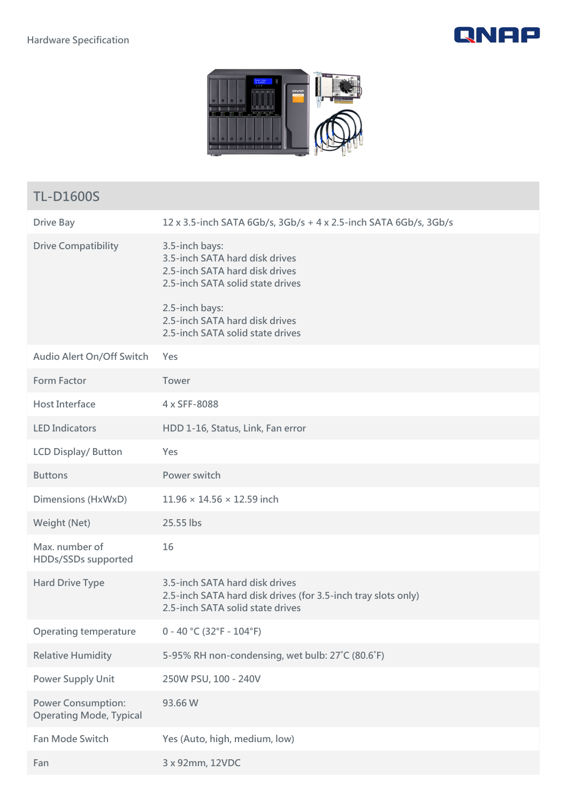



| <b>TL-D1600S</b>                                            |                                                                                                                                     |
|-------------------------------------------------------------|-------------------------------------------------------------------------------------------------------------------------------------|
| <b>Drive Bay</b>                                            | 12 x 3.5-inch SATA 6Gb/s, 3Gb/s + 4 x 2.5-inch SATA 6Gb/s, 3Gb/s                                                                    |
| <b>Drive Compatibility</b>                                  | 3.5-inch bays:<br>3.5-inch SATA hard disk drives<br>2.5-inch SATA hard disk drives<br>2.5-inch SATA solid state drives              |
|                                                             | 2.5-inch bays:<br>2.5-inch SATA hard disk drives<br>2.5-inch SATA solid state drives                                                |
| Audio Alert On/Off Switch                                   | Yes                                                                                                                                 |
| <b>Form Factor</b>                                          | Tower                                                                                                                               |
| <b>Host Interface</b>                                       | 4 x SFF-8088                                                                                                                        |
| <b>LED Indicators</b>                                       | HDD 1-16, Status, Link, Fan error                                                                                                   |
| <b>LCD Display/ Button</b>                                  | Yes                                                                                                                                 |
| <b>Buttons</b>                                              | Power switch                                                                                                                        |
| Dimensions (HxWxD)                                          | $11.96 \times 14.56 \times 12.59$ inch                                                                                              |
| Weight (Net)                                                | 25.55 lbs                                                                                                                           |
| Max. number of<br>HDDs/SSDs supported                       | 16                                                                                                                                  |
| <b>Hard Drive Type</b>                                      | 3.5-inch SATA hard disk drives<br>2.5-inch SATA hard disk drives (for 3.5-inch tray slots only)<br>2.5-inch SATA solid state drives |
| <b>Operating temperature</b>                                | $0 - 40$ °C (32°F - 104°F)                                                                                                          |
| <b>Relative Humidity</b>                                    | 5-95% RH non-condensing, wet bulb: 27°C (80.6°F)                                                                                    |
| <b>Power Supply Unit</b>                                    | 250W PSU, 100 - 240V                                                                                                                |
| <b>Power Consumption:</b><br><b>Operating Mode, Typical</b> | 93.66 W                                                                                                                             |
| <b>Fan Mode Switch</b>                                      | Yes (Auto, high, medium, low)                                                                                                       |
| Fan                                                         | 3 x 92mm, 12VDC                                                                                                                     |